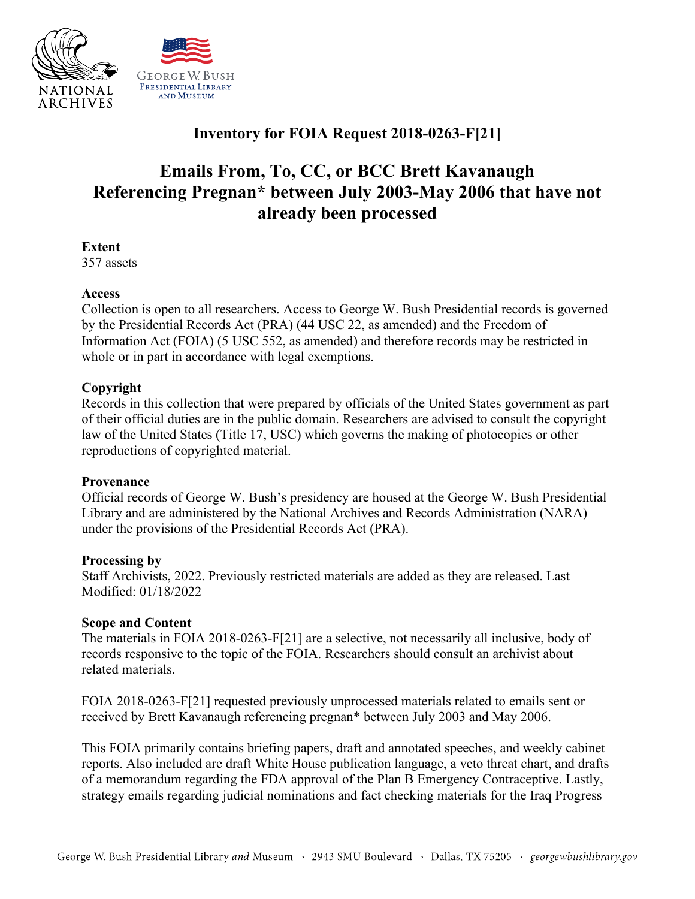

# **Inventory for FOIA Request 2018-0263-F[21]**

# **Emails From, To, CC, or BCC Brett Kavanaugh Referencing Pregnan\* between July 2003-May 2006 that have not already been processed**

**Extent** 

357 assets

# **Access**

 by the Presidential Records Act (PRA) (44 USC 22, as amended) and the Freedom of Collection is open to all researchers. Access to George W. Bush Presidential records is governed Information Act (FOIA) (5 USC 552, as amended) and therefore records may be restricted in whole or in part in accordance with legal exemptions.

# **Copyright**

Records in this collection that were prepared by officials of the United States government as part of their official duties are in the public domain. Researchers are advised to consult the copyright law of the United States (Title 17, USC) which governs the making of photocopies or other reproductions of copyrighted material.

#### **Provenance**

 under the provisions of the Presidential Records Act (PRA). Official records of George W. Bush's presidency are housed at the George W. Bush Presidential Library and are administered by the National Archives and Records Administration (NARA)

#### **Processing by**

Staff Archivists, 2022. Previously restricted materials are added as they are released. Last Modified: 01/18/2022

#### **Scope and Content**

The materials in FOIA 2018-0263-F[21] are a selective, not necessarily all inclusive, body of records responsive to the topic of the FOIA. Researchers should consult an archivist about related materials.

FOIA 2018-0263-F[21] requested previously unprocessed materials related to emails sent or received by Brett Kavanaugh referencing pregnan\* between July 2003 and May 2006.

This FOIA primarily contains briefing papers, draft and annotated speeches, and weekly cabinet reports. Also included are draft White House publication language, a veto threat chart, and drafts of a memorandum regarding the FDA approval of the Plan B Emergency Contraceptive. Lastly, strategy emails regarding judicial nominations and fact checking materials for the Iraq Progress